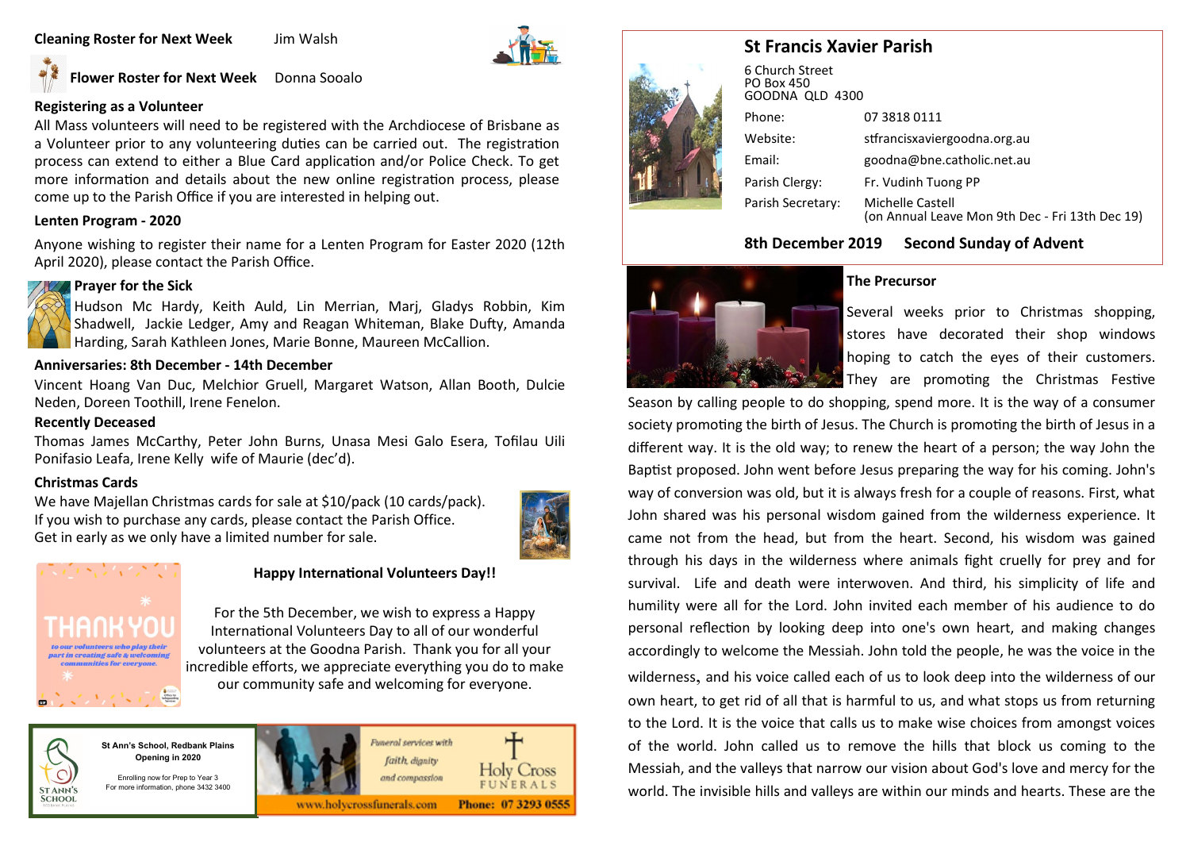## **Cleaning Roster for Next Week** Jim Walsh



**Flower Roster for Next Week** Donna Sooalo

## **Registering as a Volunteer**

All Mass volunteers will need to be registered with the Archdiocese of Brisbane as a Volunteer prior to any volunteering duties can be carried out. The registration process can extend to either a Blue Card application and/or Police Check. To get more information and details about the new online registration process, please come up to the Parish Office if you are interested in helping out.

## **Lenten Program - 2020**

Anyone wishing to register their name for a Lenten Program for Easter 2020 (12th April 2020), please contact the Parish Office.



## **Prayer for the Sick**

Hudson Mc Hardy, Keith Auld, Lin Merrian, Marj, Gladys Robbin, Kim Shadwell, Jackie Ledger, Amy and Reagan Whiteman, Blake Dufty, Amanda Harding, Sarah Kathleen Jones, Marie Bonne, Maureen McCallion.

### **Anniversaries: 8th December - 14th December**

Vincent Hoang Van Duc, Melchior Gruell, Margaret Watson, Allan Booth, Dulcie Neden, Doreen Toothill, Irene Fenelon.

### **Recently Deceased**

Thomas James McCarthy, Peter John Burns, Unasa Mesi Galo Esera, Tofilau Uili Ponifasio Leafa, Irene Kelly wife of Maurie (dec'd).

## **Christmas Cards**

We have Majellan Christmas cards for sale at \$10/pack (10 cards/pack). If you wish to purchase any cards, please contact the Parish Office. Get in early as we only have a limited number for sale.





**STANN'S SCHOOL** 

## **Happy International Volunteers Day!!**

For the 5th December, we wish to express a Happy International Volunteers Day to all of our wonderful volunteers at the Goodna Parish. Thank you for all your incredible efforts, we appreciate everything you do to make our community safe and welcoming for everyone.



Enrolling now for Prep to Year 3 For more information, phone 3432 3400





# **St Francis Xavier Parish**

|  | 6 Church Street<br><b>PO Box 450</b><br>GOODNA QLD 4300 |                                                                     |  |  |  |
|--|---------------------------------------------------------|---------------------------------------------------------------------|--|--|--|
|  | Phone:                                                  | 07 3818 0111                                                        |  |  |  |
|  | Website:                                                | stfrancisxaviergoodna.org.au                                        |  |  |  |
|  | Email:                                                  | goodna@bne.catholic.net.au                                          |  |  |  |
|  | Parish Clergy:                                          | Fr. Vudinh Tuong PP                                                 |  |  |  |
|  | Parish Secretary:                                       | Michelle Castell<br>(on Annual Leave Mon 9th Dec - Fri 13th Dec 19) |  |  |  |

## **8th December 2019 Second Sunday of Advent**



## **The Precursor**

Several weeks prior to Christmas shopping, stores have decorated their shop windows hoping to catch the eyes of their customers. They are promoting the Christmas Festive

Season by calling people to do shopping, spend more. It is the way of a consumer society promoting the birth of Jesus. The Church is promoting the birth of Jesus in a different way. It is the old way; to renew the heart of a person; the way John the Baptist proposed. John went before Jesus preparing the way for his coming. John's way of conversion was old, but it is always fresh for a couple of reasons. First, what John shared was his personal wisdom gained from the wilderness experience. It came not from the head, but from the heart. Second, his wisdom was gained through his days in the wilderness where animals fight cruelly for prey and for survival. Life and death were interwoven. And third, his simplicity of life and humility were all for the Lord. John invited each member of his audience to do personal reflection by looking deep into one's own heart, and making changes accordingly to welcome the Messiah. John told the people, he was the voice in the wilderness, and his voice called each of us to look deep into the wilderness of our own heart, to get rid of all that is harmful to us, and what stops us from returning to the Lord. It is the voice that calls us to make wise choices from amongst voices of the world. John called us to remove the hills that block us coming to the Messiah, and the valleys that narrow our vision about God's love and mercy for the world. The invisible hills and valleys are within our minds and hearts. These are the